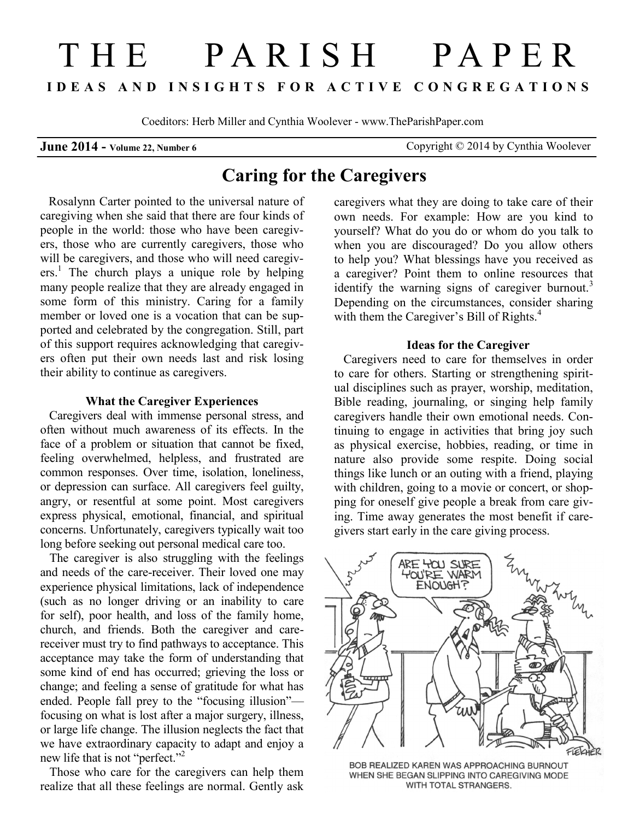# THE PARISH PAPER **I D E A S A N D I N S I G H T S F O R A C T I V E C O N G R E G A T I O N S**

Coeditors: Herb Miller and Cynthia Woolever - www.TheParishPaper.com

**June 2014 - Volume 22, Number 6** Copyright © 2014 by Cynthia Woolever

## **Caring for the Caregivers**

 Rosalynn Carter pointed to the universal nature of caregiving when she said that there are four kinds of people in the world: those who have been caregivers, those who are currently caregivers, those who will be caregivers, and those who will need caregivers.<sup>1</sup> The church plays a unique role by helping many people realize that they are already engaged in some form of this ministry. Caring for a family member or loved one is a vocation that can be supported and celebrated by the congregation. Still, part of this support requires acknowledging that caregivers often put their own needs last and risk losing their ability to continue as caregivers.

#### **What the Caregiver Experiences**

 Caregivers deal with immense personal stress, and often without much awareness of its effects. In the face of a problem or situation that cannot be fixed, feeling overwhelmed, helpless, and frustrated are common responses. Over time, isolation, loneliness, or depression can surface. All caregivers feel guilty, angry, or resentful at some point. Most caregivers express physical, emotional, financial, and spiritual concerns. Unfortunately, caregivers typically wait too long before seeking out personal medical care too.

The caregiver is also struggling with the feelings and needs of the care-receiver. Their loved one may experience physical limitations, lack of independence (such as no longer driving or an inability to care for self), poor health, and loss of the family home, church, and friends. Both the caregiver and carereceiver must try to find pathways to acceptance. This acceptance may take the form of understanding that some kind of end has occurred; grieving the loss or change; and feeling a sense of gratitude for what has ended. People fall prey to the "focusing illusion" focusing on what is lost after a major surgery, illness, or large life change. The illusion neglects the fact that we have extraordinary capacity to adapt and enjoy a new life that is not "perfect."<sup>2</sup>

Those who care for the caregivers can help them realize that all these feelings are normal. Gently ask

caregivers what they are doing to take care of their own needs. For example: How are you kind to yourself? What do you do or whom do you talk to when you are discouraged? Do you allow others to help you? What blessings have you received as a caregiver? Point them to online resources that identify the warning signs of caregiver burnout.<sup>3</sup> Depending on the circumstances, consider sharing with them the Caregiver's Bill of Rights.<sup>4</sup>

### **Ideas for the Caregiver**

Caregivers need to care for themselves in order to care for others. Starting or strengthening spiritual disciplines such as prayer, worship, meditation, Bible reading, journaling, or singing help family caregivers handle their own emotional needs. Continuing to engage in activities that bring joy such as physical exercise, hobbies, reading, or time in nature also provide some respite. Doing social things like lunch or an outing with a friend, playing with children, going to a movie or concert, or shopping for oneself give people a break from care giving. Time away generates the most benefit if caregivers start early in the care giving process.



BOB REALIZED KAREN WAS APPROACHING BURNOUT WHEN SHE BEGAN SLIPPING INTO CAREGIVING MODE WITH TOTAL STRANGERS.